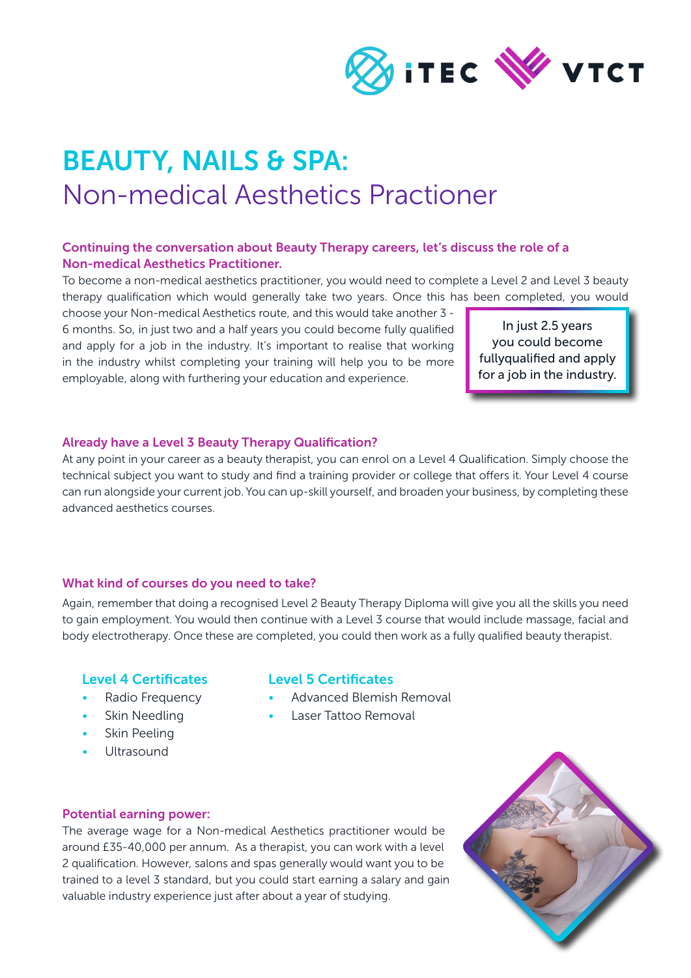

# BEAUTY, NAILS & SPA: Non-medical Aesthetics Practioner

## Continuing the conversation about Beauty Therapy careers, let's discuss the role of a Non-medical Aesthetics Practitioner.

To become a non-medical aesthetics practitioner, you would need to complete a Level 2 and Level 3 beauty therapy qualification which would generally take two years. Once this has been completed, you would

choose your Non-medical Aesthetics route, and this would take another 3 - 6 months. So, in just two and a half years you could become fully qualified and apply for a job in the industry. It's important to realise that working in the industry whilst completing your training will help you to be more employable, along with furthering your education and experience.

In just 2.5 years you could become fullyqualified and apply for a job in the industry.

## Already have a Level 3 Beauty Therapy Qualification?

At any point in your career as a beauty therapist, you can enrol on a Level 4 Qualification. Simply choose the technical subject you want to study and find a training provider or college that offers it. Your Level 4 course can run alongside your current job. You can up-skill yourself, and broaden your business, by completing these advanced aesthetics courses.

## What kind of courses do you need to take?

Again, remember that doing a recognised Level 2 Beauty Therapy Diploma will give you all the skills you need to gain employment. You would then continue with a Level 3 course that would include massage, facial and body electrotherapy. Once these are completed, you could then work as a fully qualified beauty therapist.

## Level 4 Certificates

Radio Frequency Skin Needling

## Level 5 Certificates

- Advanced Blemish Removal
	- Laser Tattoo Removal
- Skin Peeling
- Ultrasound

#### Potential earning power:

The average wage for a Non-medical Aesthetics practitioner would be around £35-40,000 per annum. As a therapist, you can work with a level 2 qualification. However, salons and spas generally would want you to be trained to a level 3 standard, but you could start earning a salary and gain valuable industry experience just after about a year of studying.